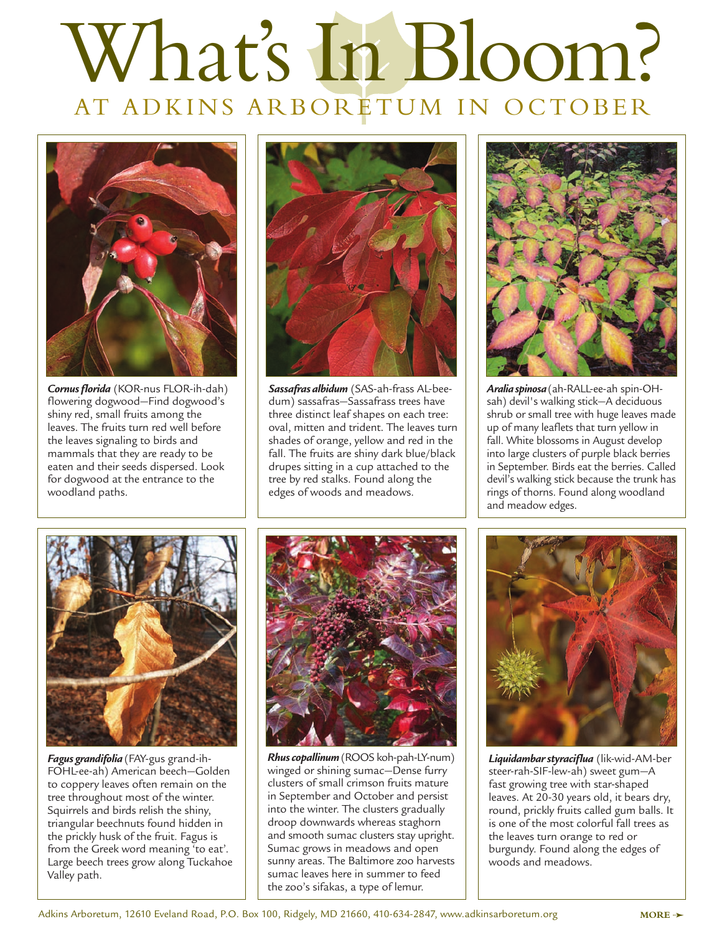## What's In Bloom? AT ADKINS ARBORETUM IN OCTOBER



*Cornus florida* (KOR-nus FLOR-ih-dah) flowering dogwood—Find dogwood's shiny red, small fruits among the leaves. The fruits turn red well before the leaves signaling to birds and mammals that they are ready to be eaten and their seeds dispersed. Look for dogwood at the entrance to the woodland paths.



*Sassafras albidum* (SAS-ah-frass AL-beedum) sassafras—Sassafrass trees have three distinct leaf shapes on each tree: oval, mitten and trident. The leaves turn shades of orange, yellow and red in the fall. The fruits are shiny dark blue/black drupes sitting in a cup attached to the tree by red stalks. Found along the edges of woods and meadows.



*Aralia spinosa* (ah-RALL-ee-ah spin-OHsah) devil's walking stick—A deciduous shrub or small tree with huge leaves made up of many leaflets that turn yellow in fall. White blossoms in August develop into large clusters of purple black berries in September. Birds eat the berries. Called devil's walking stick because the trunk has rings of thorns. Found along woodland and meadow edges.



*Fagus grandifolia* (FAY-gus grand-ih-FOHL-ee-ah) American beech—Golden to coppery leaves often remain on the tree throughout most of the winter. Squirrels and birds relish the shiny, triangular beechnuts found hidden in the prickly husk of the fruit. Fagus is from the Greek word meaning 'to eat'. Large beech trees grow along Tuckahoe Valley path.



*Rhus copallinum* (ROOS koh-pah-LY-num) winged or shining sumac—Dense furry clusters of small crimson fruits mature in September and October and persist into the winter. The clusters gradually droop downwards whereas staghorn and smooth sumac clusters stay upright. Sumac grows in meadows and open sunny areas. The Baltimore zoo harvests sumac leaves here in summer to feed the zoo's sifakas, a type of lemur.



*Liquidambar styraciflua* (lik-wid-AM-ber steer-rah-SIF-lew-ah) sweet gum—A fast growing tree with star-shaped leaves. At 20-30 years old, it bears dry, round, prickly fruits called gum balls. It is one of the most colorful fall trees as the leaves turn orange to red or burgundy. Found along the edges of woods and meadows.